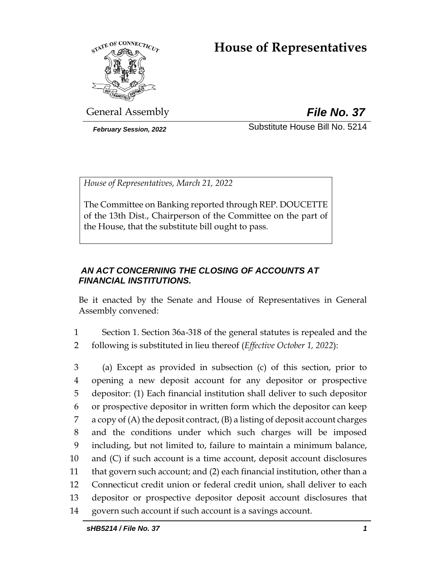# **House of Representatives**



General Assembly *File No. 37*

*February Session, 2022* Substitute House Bill No. 5214

*House of Representatives, March 21, 2022*

The Committee on Banking reported through REP. DOUCETTE of the 13th Dist., Chairperson of the Committee on the part of the House, that the substitute bill ought to pass.

## *AN ACT CONCERNING THE CLOSING OF ACCOUNTS AT FINANCIAL INSTITUTIONS.*

Be it enacted by the Senate and House of Representatives in General Assembly convened:

1 Section 1. Section 36a-318 of the general statutes is repealed and the 2 following is substituted in lieu thereof (*Effective October 1, 2022*):

 (a) Except as provided in subsection (c) of this section, prior to opening a new deposit account for any depositor or prospective depositor: (1) Each financial institution shall deliver to such depositor or prospective depositor in written form which the depositor can keep a copy of (A) the deposit contract, (B) a listing of deposit account charges and the conditions under which such charges will be imposed including, but not limited to, failure to maintain a minimum balance, and (C) if such account is a time account, deposit account disclosures that govern such account; and (2) each financial institution, other than a Connecticut credit union or federal credit union, shall deliver to each depositor or prospective depositor deposit account disclosures that govern such account if such account is a savings account.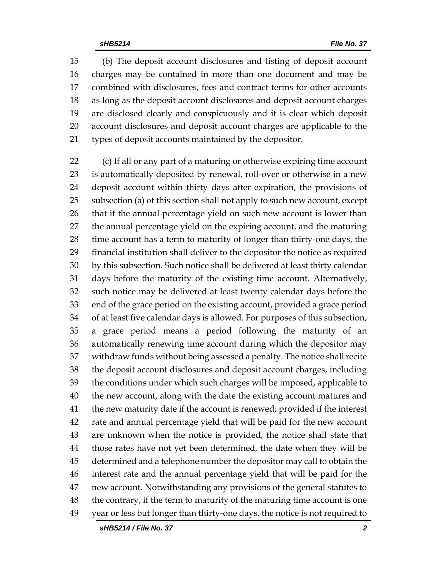(b) The deposit account disclosures and listing of deposit account charges may be contained in more than one document and may be combined with disclosures, fees and contract terms for other accounts as long as the deposit account disclosures and deposit account charges are disclosed clearly and conspicuously and it is clear which deposit account disclosures and deposit account charges are applicable to the types of deposit accounts maintained by the depositor.

 (c) If all or any part of a maturing or otherwise expiring time account is automatically deposited by renewal, roll-over or otherwise in a new deposit account within thirty days after expiration, the provisions of subsection (a) of this section shall not apply to such new account, except that if the annual percentage yield on such new account is lower than the annual percentage yield on the expiring account, and the maturing time account has a term to maturity of longer than thirty-one days, the financial institution shall deliver to the depositor the notice as required by this subsection. Such notice shall be delivered at least thirty calendar days before the maturity of the existing time account. Alternatively, such notice may be delivered at least twenty calendar days before the end of the grace period on the existing account, provided a grace period of at least five calendar days is allowed. For purposes of this subsection, a grace period means a period following the maturity of an automatically renewing time account during which the depositor may withdraw funds without being assessed a penalty. The notice shall recite the deposit account disclosures and deposit account charges, including the conditions under which such charges will be imposed, applicable to the new account, along with the date the existing account matures and the new maturity date if the account is renewed; provided if the interest rate and annual percentage yield that will be paid for the new account are unknown when the notice is provided, the notice shall state that those rates have not yet been determined, the date when they will be determined and a telephone number the depositor may call to obtain the interest rate and the annual percentage yield that will be paid for the new account. Notwithstanding any provisions of the general statutes to the contrary, if the term to maturity of the maturing time account is one year or less but longer than thirty-one days, the notice is not required to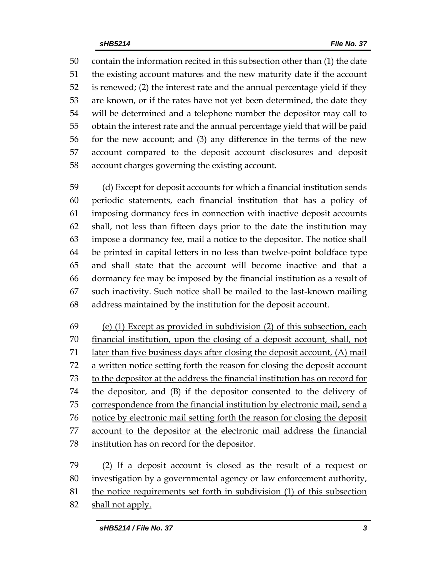contain the information recited in this subsection other than (1) the date the existing account matures and the new maturity date if the account is renewed; (2) the interest rate and the annual percentage yield if they are known, or if the rates have not yet been determined, the date they will be determined and a telephone number the depositor may call to obtain the interest rate and the annual percentage yield that will be paid for the new account; and (3) any difference in the terms of the new account compared to the deposit account disclosures and deposit account charges governing the existing account.

 (d) Except for deposit accounts for which a financial institution sends periodic statements, each financial institution that has a policy of imposing dormancy fees in connection with inactive deposit accounts shall, not less than fifteen days prior to the date the institution may impose a dormancy fee, mail a notice to the depositor. The notice shall be printed in capital letters in no less than twelve-point boldface type and shall state that the account will become inactive and that a dormancy fee may be imposed by the financial institution as a result of such inactivity. Such notice shall be mailed to the last-known mailing address maintained by the institution for the deposit account.

 (e) (1) Except as provided in subdivision (2) of this subsection, each financial institution, upon the closing of a deposit account, shall, not later than five business days after closing the deposit account, (A) mail a written notice setting forth the reason for closing the deposit account to the depositor at the address the financial institution has on record for the depositor, and (B) if the depositor consented to the delivery of correspondence from the financial institution by electronic mail, send a notice by electronic mail setting forth the reason for closing the deposit account to the depositor at the electronic mail address the financial institution has on record for the depositor.

 (2) If a deposit account is closed as the result of a request or 80 investigation by a governmental agency or law enforcement authority, 81 the notice requirements set forth in subdivision (1) of this subsection shall not apply.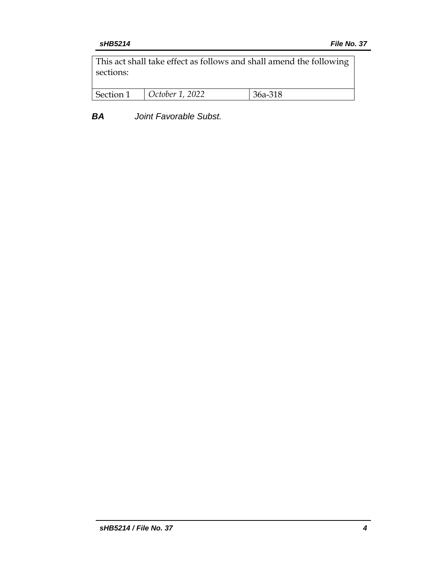This act shall take effect as follows and shall amend the following sections:

| Section 1 | October 1, 2022 | 36a-318 |
|-----------|-----------------|---------|
|           |                 |         |

*BA Joint Favorable Subst.*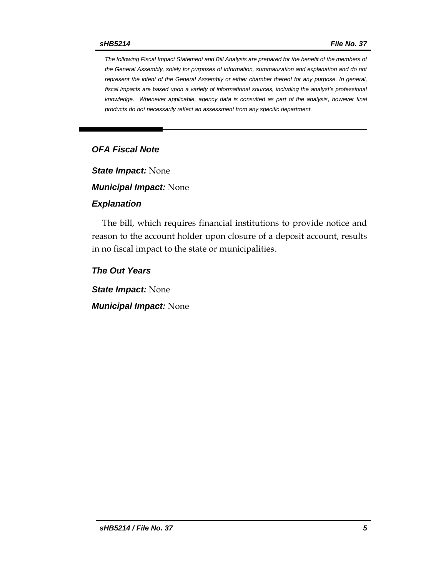*The following Fiscal Impact Statement and Bill Analysis are prepared for the benefit of the members of the General Assembly, solely for purposes of information, summarization and explanation and do not represent the intent of the General Assembly or either chamber thereof for any purpose. In general, fiscal impacts are based upon a variety of informational sources, including the analyst's professional knowledge. Whenever applicable, agency data is consulted as part of the analysis, however final products do not necessarily reflect an assessment from any specific department.*

#### *OFA Fiscal Note*

*State Impact:* None

*Municipal Impact:* None

#### *Explanation*

The bill, which requires financial institutions to provide notice and reason to the account holder upon closure of a deposit account, results in no fiscal impact to the state or municipalities.

*The Out Years*

*State Impact:* None

*Municipal Impact:* None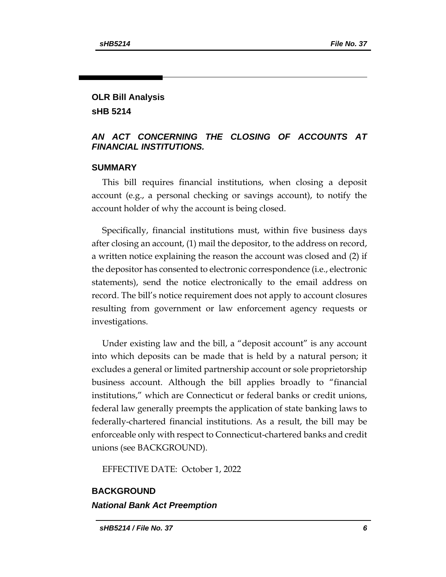#### **OLR Bill Analysis sHB 5214**

#### *AN ACT CONCERNING THE CLOSING OF ACCOUNTS AT FINANCIAL INSTITUTIONS.*

#### **SUMMARY**

This bill requires financial institutions, when closing a deposit account (e.g., a personal checking or savings account), to notify the account holder of why the account is being closed.

Specifically, financial institutions must, within five business days after closing an account, (1) mail the depositor, to the address on record, a written notice explaining the reason the account was closed and (2) if the depositor has consented to electronic correspondence (i.e., electronic statements), send the notice electronically to the email address on record. The bill's notice requirement does not apply to account closures resulting from government or law enforcement agency requests or investigations.

Under existing law and the bill, a "deposit account" is any account into which deposits can be made that is held by a natural person; it excludes a general or limited partnership account or sole proprietorship business account. Although the bill applies broadly to "financial institutions," which are Connecticut or federal banks or credit unions, federal law generally preempts the application of state banking laws to federally-chartered financial institutions. As a result, the bill may be enforceable only with respect to Connecticut-chartered banks and credit unions (see BACKGROUND).

EFFECTIVE DATE: October 1, 2022

## **BACKGROUND** *National Bank Act Preemption*